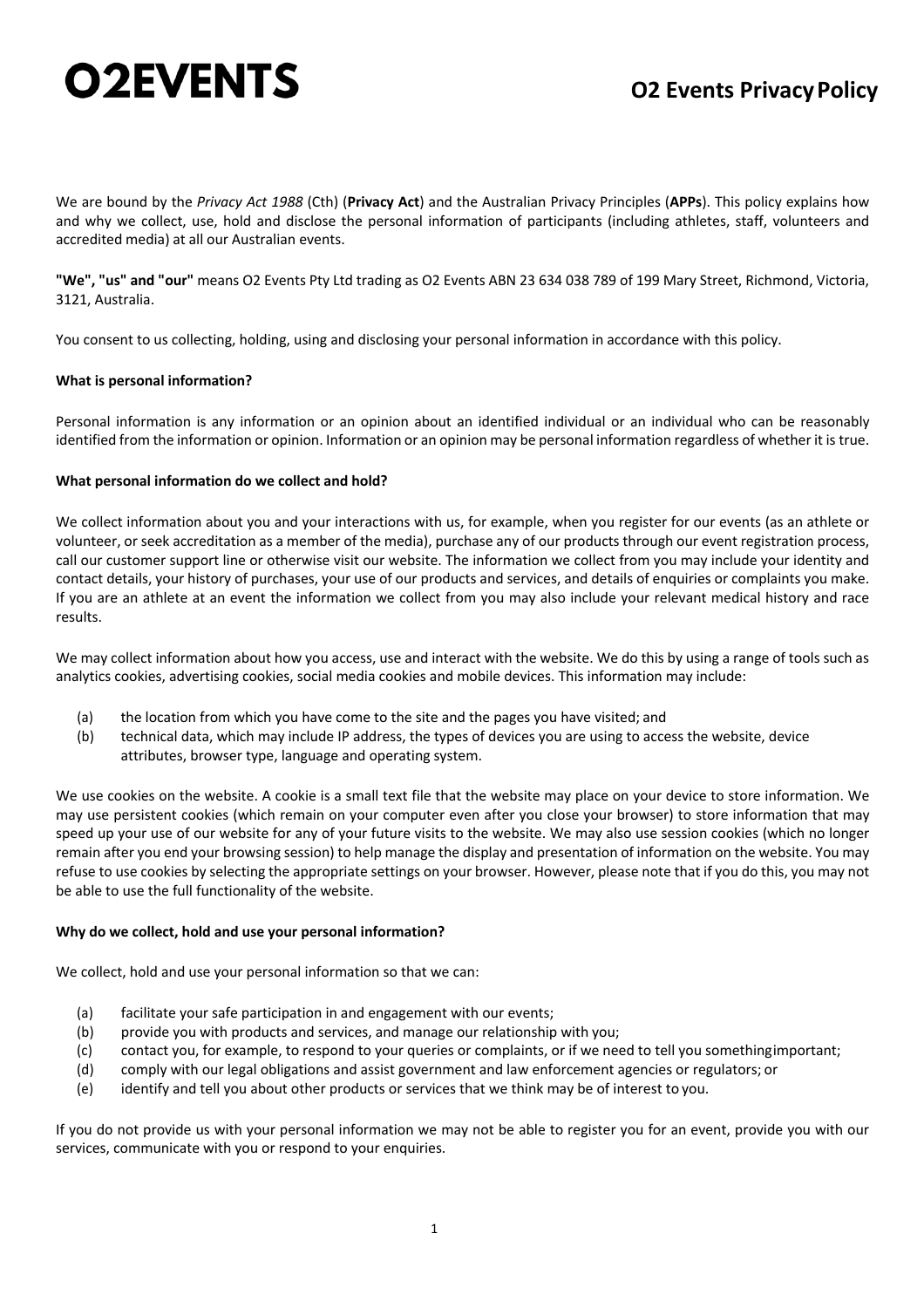# **O2EVENTS**

# **O2 Events PrivacyPolicy**

We are bound by the *Privacy Act 1988* (Cth) (**Privacy Act**) and the Australian Privacy Principles (**APPs**). This policy explains how and why we collect, use, hold and disclose the personal information of participants (including athletes, staff, volunteers and accredited media) at all our Australian events.

**"We", "us" and "our"** means O2 Events Pty Ltd trading as O2 Events ABN 23 634 038 789 of 199 Mary Street, Richmond, Victoria, 3121, Australia.

You consent to us collecting, holding, using and disclosing your personal information in accordance with this policy.

# **What is personal information?**

Personal information is any information or an opinion about an identified individual or an individual who can be reasonably identified from the information or opinion. Information or an opinion may be personal information regardless of whether it is true.

# **What personal information do we collect and hold?**

We collect information about you and your interactions with us, for example, when you register for our events (as an athlete or volunteer, or seek accreditation as a member of the media), purchase any of our products through our event registration process, call our customer support line or otherwise visit our website. The information we collect from you may include your identity and contact details, your history of purchases, your use of our products and services, and details of enquiries or complaints you make. If you are an athlete at an event the information we collect from you may also include your relevant medical history and race results.

We may collect information about how you access, use and interact with the website. We do this by using a range of tools such as analytics cookies, advertising cookies, social media cookies and mobile devices. This information may include:

- (a) the location from which you have come to the site and the pages you have visited; and
- (b) technical data, which may include IP address, the types of devices you are using to access the website, device attributes, browser type, language and operating system.

We use cookies on the website. A cookie is a small text file that the website may place on your device to store information. We may use persistent cookies (which remain on your computer even after you close your browser) to store information that may speed up your use of our website for any of your future visits to the website. We may also use session cookies (which no longer remain after you end your browsing session) to help manage the display and presentation of information on the website. You may refuse to use cookies by selecting the appropriate settings on your browser. However, please note that if you do this, you may not be able to use the full functionality of the website.

# **Why do we collect, hold and use your personal information?**

We collect, hold and use your personal information so that we can:

- (a) facilitate your safe participation in and engagement with our events;
- (b) provide you with products and services, and manage our relationship with you;
- (c) contact you, for example, to respond to your queries or complaints, or if we need to tell you somethingimportant;
- (d) comply with our legal obligations and assist government and law enforcement agencies or regulators; or
- (e) identify and tell you about other products or services that we think may be of interest to you.

If you do not provide us with your personal information we may not be able to register you for an event, provide you with our services, communicate with you or respond to your enquiries.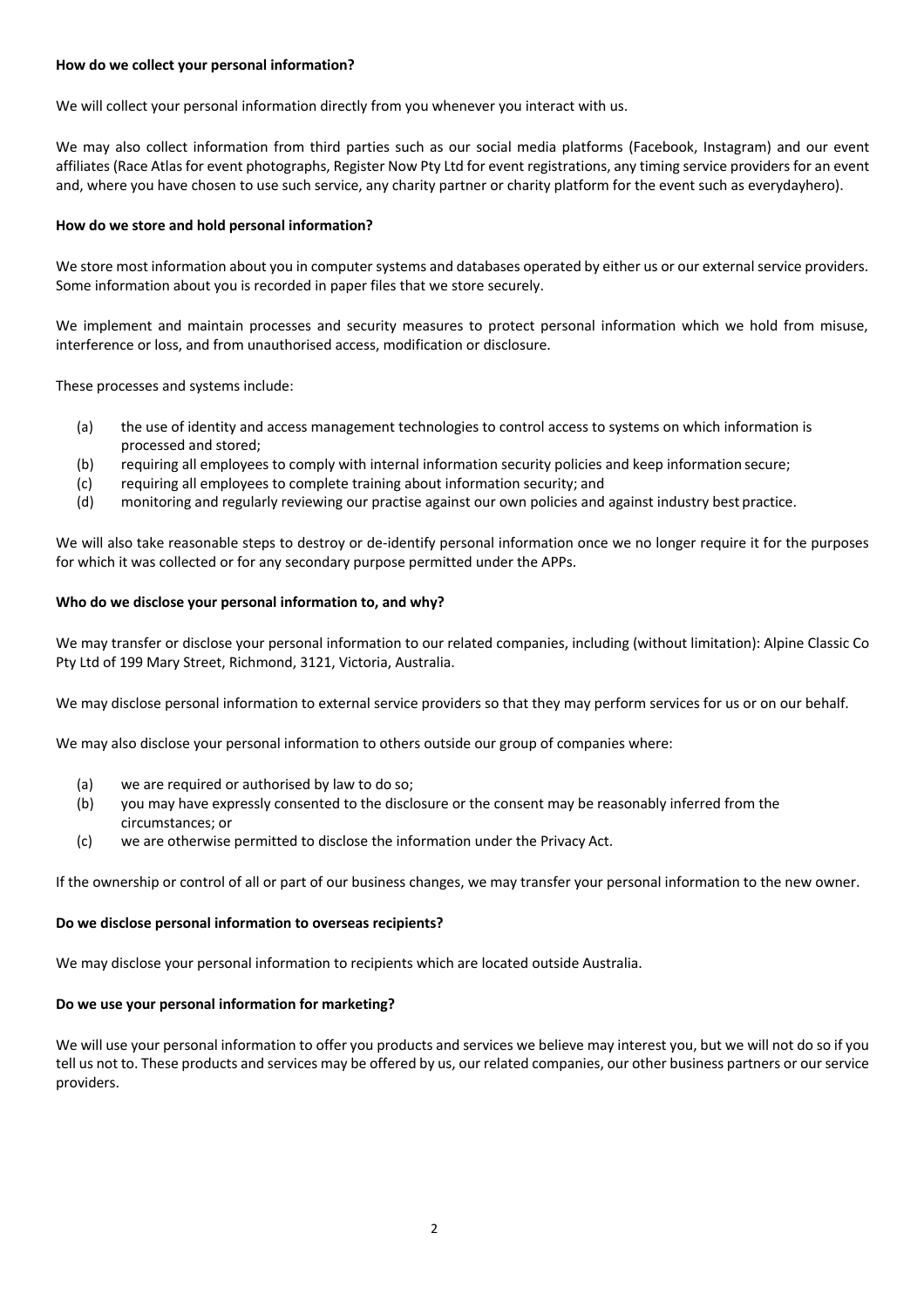# **How do we collect your personal information?**

We will collect your personal information directly from you whenever you interact with us.

We may also collect information from third parties such as our social media platforms (Facebook, Instagram) and our event affiliates (Race Atlas for event photographs, Register Now Pty Ltd for event registrations, any timing service providers for an event and, where you have chosen to use such service, any charity partner or charity platform for the event such as everydayhero).

### **How do we store and hold personal information?**

We store most information about you in computer systems and databases operated by either us or our external service providers. Some information about you is recorded in paper files that we store securely.

We implement and maintain processes and security measures to protect personal information which we hold from misuse, interference or loss, and from unauthorised access, modification or disclosure.

These processes and systems include:

- (a) the use of identity and access management technologies to control access to systems on which information is processed and stored;
- (b) requiring all employees to comply with internal information security policies and keep information secure;
- (c) requiring all employees to complete training about information security; and
- (d) monitoring and regularly reviewing our practise against our own policies and against industry best practice.

We will also take reasonable steps to destroy or de-identify personal information once we no longer require it for the purposes for which it was collected or for any secondary purpose permitted under the APPs.

#### **Who do we disclose your personal information to, and why?**

We may transfer or disclose your personal information to our related companies, including (without limitation): Alpine Classic Co Pty Ltd of 199 Mary Street, Richmond, 3121, Victoria, Australia.

We may disclose personal information to external service providers so that they may perform services for us or on our behalf.

We may also disclose your personal information to others outside our group of companies where:

- (a) we are required or authorised by law to do so;
- (b) you may have expressly consented to the disclosure or the consent may be reasonably inferred from the circumstances; or
- (c) we are otherwise permitted to disclose the information under the Privacy Act.

If the ownership or control of all or part of our business changes, we may transfer your personal information to the new owner.

#### **Do we disclose personal information to overseas recipients?**

We may disclose your personal information to recipients which are located outside Australia.

#### **Do we use your personal information for marketing?**

We will use your personal information to offer you products and services we believe may interest you, but we will not do so if you tell us not to. These products and services may be offered by us, our related companies, our other business partners or our service providers.